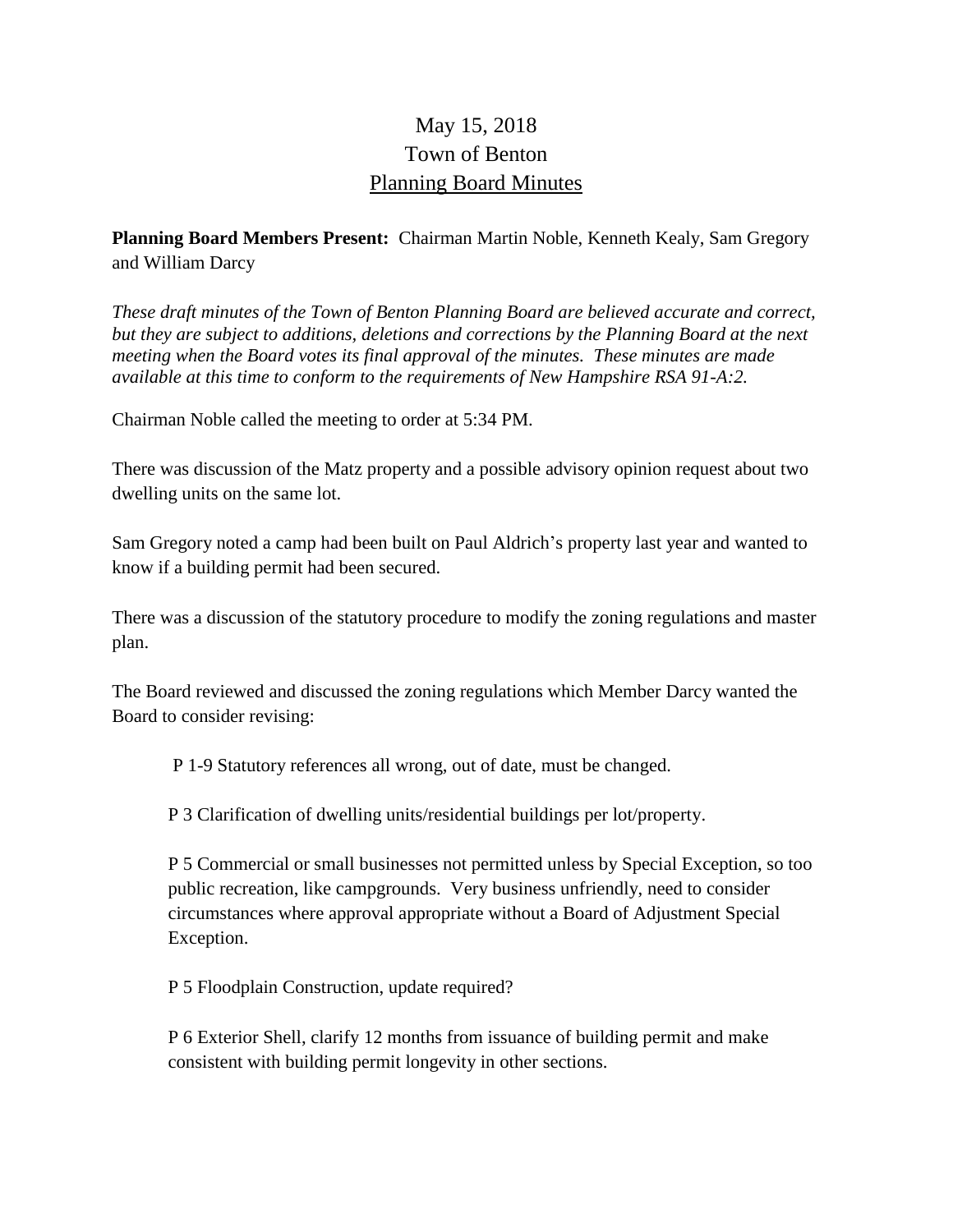## May 15, 2018 Town of Benton Planning Board Minutes

## **Planning Board Members Present:** Chairman Martin Noble, Kenneth Kealy, Sam Gregory and William Darcy

*These draft minutes of the Town of Benton Planning Board are believed accurate and correct, but they are subject to additions, deletions and corrections by the Planning Board at the next meeting when the Board votes its final approval of the minutes. These minutes are made available at this time to conform to the requirements of New Hampshire RSA 91-A:2.*

Chairman Noble called the meeting to order at 5:34 PM.

There was discussion of the Matz property and a possible advisory opinion request about two dwelling units on the same lot.

Sam Gregory noted a camp had been built on Paul Aldrich's property last year and wanted to know if a building permit had been secured.

There was a discussion of the statutory procedure to modify the zoning regulations and master plan.

The Board reviewed and discussed the zoning regulations which Member Darcy wanted the Board to consider revising:

P 1-9 Statutory references all wrong, out of date, must be changed.

P 3 Clarification of dwelling units/residential buildings per lot/property.

P 5 Commercial or small businesses not permitted unless by Special Exception, so too public recreation, like campgrounds. Very business unfriendly, need to consider circumstances where approval appropriate without a Board of Adjustment Special Exception.

P 5 Floodplain Construction, update required?

P 6 Exterior Shell, clarify 12 months from issuance of building permit and make consistent with building permit longevity in other sections.